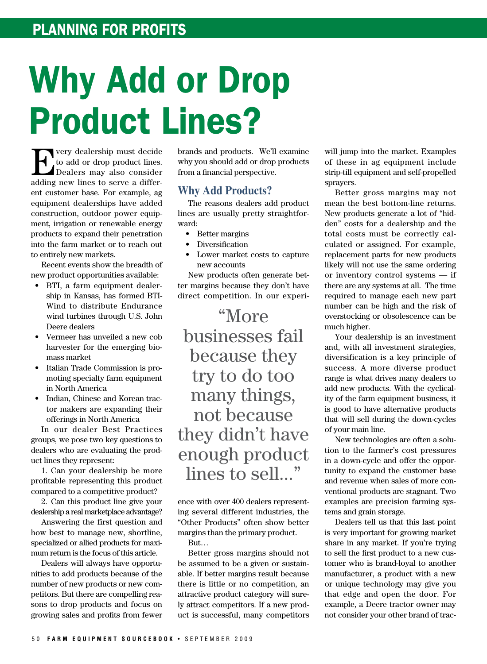## Why Add or Drop Product Lines?

For very dealership must decide<br>to add or drop product lines.<br>Dealers may also consider to add or drop product lines. Dealers may also consider adding new lines to serve a different customer base. For example, ag equipment dealerships have added construction, outdoor power equipment, irrigation or renewable energy products to expand their penetration into the farm market or to reach out to entirely new markets.

Recent events show the breadth of new product opportunities available:

- BTI, a farm equipment dealership in Kansas, has formed BTI-Wind to distribute Endurance wind turbines through U.S. John Deere dealers
- • Vermeer has unveiled a new cob harvester for the emerging biomass market
- • Italian Trade Commission is promoting specialty farm equipment in North America
- Indian, Chinese and Korean tractor makers are expanding their offerings in North America

In our dealer Best Practices groups, we pose two key questions to dealers who are evaluating the product lines they represent:

1. Can your dealership be more profitable representing this product compared to a competitive product?

2. Can this product line give your dealership a real marketplace advantage?

Answering the first question and how best to manage new, shortline, specialized or allied products for maximum return is the focus of this article.

Dealers will always have opportunities to add products because of the number of new products or new competitors. But there are compelling reasons to drop products and focus on growing sales and profits from fewer brands and products. We'll examine why you should add or drop products from a financial perspective.

## **Why Add Products?**

The reasons dealers add product lines are usually pretty straightforward:

- • Better margins
- **Diversification**
- Lower market costs to capture new accounts

New products often generate better margins because they don't have direct competition. In our experi-

"More businesses fail because they try to do too many things, not because they didn't have enough product lines to sell..."

ence with over 400 dealers representing several different industries, the "Other Products" often show better margins than the primary product.

But…

Better gross margins should not be assumed to be a given or sustainable. If better margins result because there is little or no competition, an attractive product category will surely attract competitors. If a new product is successful, many competitors

will jump into the market. Examples of these in ag equipment include strip-till equipment and self-propelled sprayers.

Better gross margins may not mean the best bottom-line returns. New products generate a lot of "hidden" costs for a dealership and the total costs must be correctly calculated or assigned. For example, replacement parts for new products likely will not use the same ordering or inventory control systems — if there are any systems at all. The time required to manage each new part number can be high and the risk of overstocking or obsolescence can be much higher.

Your dealership is an investment and, with all investment strategies, diversification is a key principle of success. A more diverse product range is what drives many dealers to add new products. With the cyclicality of the farm equipment business, it is good to have alternative products that will sell during the down-cycles of your main line.

New technologies are often a solution to the farmer's cost pressures in a down-cycle and offer the opportunity to expand the customer base and revenue when sales of more conventional products are stagnant. Two examples are precision farming systems and grain storage.

Dealers tell us that this last point is very important for growing market share in any market. If you're trying to sell the first product to a new customer who is brand-loyal to another manufacturer, a product with a new or unique technology may give you that edge and open the door. For example, a Deere tractor owner may not consider your other brand of trac